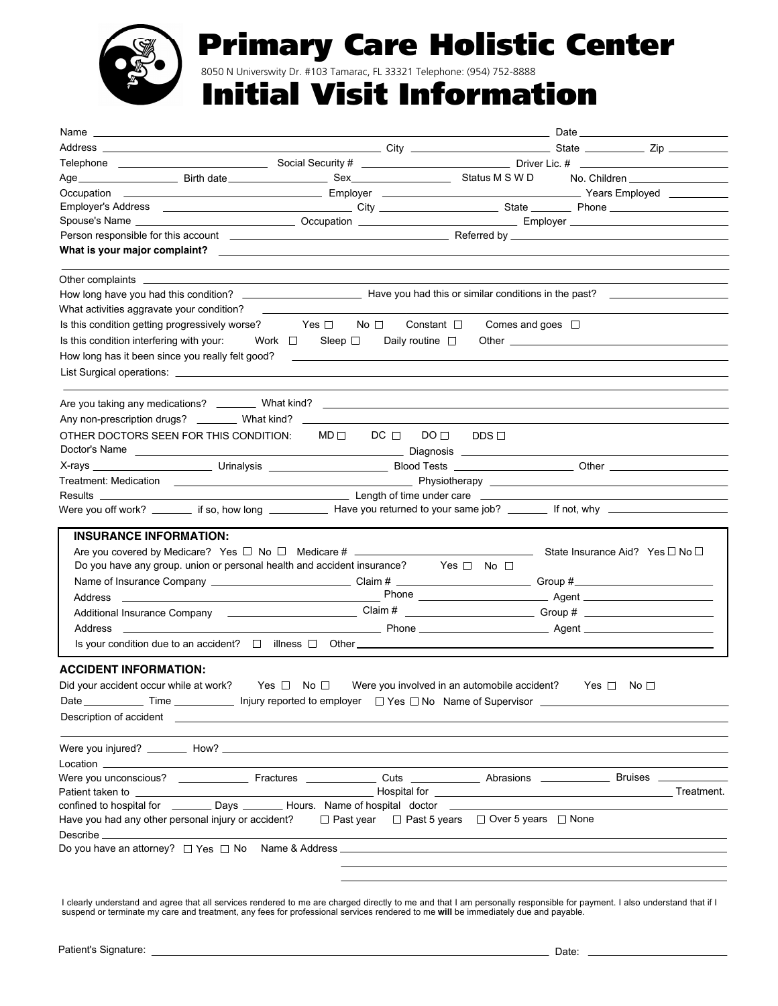

## Primary Care Holistic Center

8050 N Universwity Dr. #103 Tamarac, FL 33321 Telephone: (954) 752-8888

### Initial Visit Information

| Person responsible for this account entertainment and the control of the Referred by Electron Control of the control of the control of the control of the control of the control of the control of the control of the control        |                                                                                                                                                                                                              |                                                                                                                                                                                                                                |                                          |                                              |            |           |  |
|--------------------------------------------------------------------------------------------------------------------------------------------------------------------------------------------------------------------------------------|--------------------------------------------------------------------------------------------------------------------------------------------------------------------------------------------------------------|--------------------------------------------------------------------------------------------------------------------------------------------------------------------------------------------------------------------------------|------------------------------------------|----------------------------------------------|------------|-----------|--|
| What is your major complaint? Notify the complete the control of the control of the control of the control of the control of the control of the control of the control of the control of the control of the control of the con       |                                                                                                                                                                                                              |                                                                                                                                                                                                                                |                                          |                                              |            |           |  |
|                                                                                                                                                                                                                                      |                                                                                                                                                                                                              |                                                                                                                                                                                                                                |                                          |                                              |            |           |  |
|                                                                                                                                                                                                                                      |                                                                                                                                                                                                              |                                                                                                                                                                                                                                |                                          |                                              |            |           |  |
|                                                                                                                                                                                                                                      |                                                                                                                                                                                                              |                                                                                                                                                                                                                                |                                          |                                              |            |           |  |
| What activities aggravate your condition?                                                                                                                                                                                            |                                                                                                                                                                                                              |                                                                                                                                                                                                                                |                                          |                                              |            |           |  |
| Is this condition getting progressively worse? Yes □                                                                                                                                                                                 |                                                                                                                                                                                                              | No $\Box$                                                                                                                                                                                                                      | Constant $\square$                       | Comes and goes $\Box$                        |            |           |  |
| Is this condition interfering with your:                                                                                                                                                                                             |                                                                                                                                                                                                              | Work $\square$ Sleep $\square$                                                                                                                                                                                                 | Daily routine $\Box$                     |                                              |            |           |  |
| How long has it been since you really felt good?                                                                                                                                                                                     |                                                                                                                                                                                                              | <u> The Common State Common State Common State Common State Common State Common State Common State Common State Co</u>                                                                                                         |                                          |                                              |            |           |  |
|                                                                                                                                                                                                                                      |                                                                                                                                                                                                              |                                                                                                                                                                                                                                |                                          |                                              |            |           |  |
|                                                                                                                                                                                                                                      |                                                                                                                                                                                                              |                                                                                                                                                                                                                                |                                          |                                              |            |           |  |
|                                                                                                                                                                                                                                      |                                                                                                                                                                                                              |                                                                                                                                                                                                                                |                                          |                                              |            |           |  |
|                                                                                                                                                                                                                                      |                                                                                                                                                                                                              |                                                                                                                                                                                                                                |                                          |                                              |            |           |  |
| OTHER DOCTORS SEEN FOR THIS CONDITION:                                                                                                                                                                                               |                                                                                                                                                                                                              |                                                                                                                                                                                                                                | $MD \Box$ DC $\Box$ DO $\Box$ DDS $\Box$ |                                              |            |           |  |
|                                                                                                                                                                                                                                      |                                                                                                                                                                                                              |                                                                                                                                                                                                                                |                                          |                                              |            |           |  |
|                                                                                                                                                                                                                                      |                                                                                                                                                                                                              |                                                                                                                                                                                                                                |                                          |                                              |            |           |  |
| Treatment: Medication <b>Contract Contract Contract Contract Contract Contract Contract Contract Contract Contract Contract Contract Contract Contract Contract Contract Contract Contract Contract Contract Contract Contract C</b> |                                                                                                                                                                                                              |                                                                                                                                                                                                                                |                                          |                                              |            |           |  |
| Results __                                                                                                                                                                                                                           | <b>Example 2018 Length of time under care Contract 2018 Contract 2019 Contract 2019 Contract 2019 Contract 2019 Contract 2019 Contract 2019 Contract 2019 Contract 2019 Contract 2019 Contract 2019 Cont</b> |                                                                                                                                                                                                                                |                                          |                                              |            |           |  |
| Were you off work? _______ if so, how long _____________ Have you returned to your same job? _______ If not, why _____________________                                                                                               |                                                                                                                                                                                                              |                                                                                                                                                                                                                                |                                          |                                              |            |           |  |
| <b>INSURANCE INFORMATION:</b>                                                                                                                                                                                                        |                                                                                                                                                                                                              |                                                                                                                                                                                                                                |                                          |                                              |            |           |  |
|                                                                                                                                                                                                                                      |                                                                                                                                                                                                              |                                                                                                                                                                                                                                |                                          |                                              |            |           |  |
|                                                                                                                                                                                                                                      | Do you have any group. union or personal health and accident insurance? Yes $\square$ No $\square$                                                                                                           |                                                                                                                                                                                                                                |                                          |                                              |            |           |  |
|                                                                                                                                                                                                                                      | Name of Insurance Company _______________________________Claim # ______________________________Group #_________________________________                                                                      |                                                                                                                                                                                                                                |                                          |                                              |            |           |  |
|                                                                                                                                                                                                                                      |                                                                                                                                                                                                              |                                                                                                                                                                                                                                |                                          |                                              |            |           |  |
|                                                                                                                                                                                                                                      |                                                                                                                                                                                                              |                                                                                                                                                                                                                                |                                          |                                              |            |           |  |
| Address                                                                                                                                                                                                                              |                                                                                                                                                                                                              |                                                                                                                                                                                                                                |                                          |                                              |            |           |  |
|                                                                                                                                                                                                                                      |                                                                                                                                                                                                              |                                                                                                                                                                                                                                |                                          |                                              |            |           |  |
|                                                                                                                                                                                                                                      |                                                                                                                                                                                                              |                                                                                                                                                                                                                                |                                          |                                              |            |           |  |
| <b>ACCIDENT INFORMATION:</b>                                                                                                                                                                                                         |                                                                                                                                                                                                              |                                                                                                                                                                                                                                |                                          |                                              |            |           |  |
| Did your accident occur while at work?                                                                                                                                                                                               | Yes $\Box$ No $\Box$                                                                                                                                                                                         |                                                                                                                                                                                                                                |                                          | Were you involved in an automobile accident? | Yes $\Box$ | No $\Box$ |  |
| Date $\_\_\_\_\_\$ Time $\_\_\_\_\_\$ Injury reported to employer $\_\_\$ Yes $\_\$ No Name of Supervisor $\_\_\_\_\_\_\_\_\_$                                                                                                       |                                                                                                                                                                                                              |                                                                                                                                                                                                                                |                                          |                                              |            |           |  |
|                                                                                                                                                                                                                                      |                                                                                                                                                                                                              |                                                                                                                                                                                                                                |                                          |                                              |            |           |  |
|                                                                                                                                                                                                                                      |                                                                                                                                                                                                              |                                                                                                                                                                                                                                |                                          |                                              |            |           |  |
|                                                                                                                                                                                                                                      |                                                                                                                                                                                                              |                                                                                                                                                                                                                                |                                          |                                              |            |           |  |
| Location ______________                                                                                                                                                                                                              |                                                                                                                                                                                                              |                                                                                                                                                                                                                                |                                          |                                              |            |           |  |
|                                                                                                                                                                                                                                      |                                                                                                                                                                                                              |                                                                                                                                                                                                                                |                                          |                                              |            |           |  |
| Patient taken to _                                                                                                                                                                                                                   |                                                                                                                                                                                                              | and the contract of the Hospital for the contract of the contract of the contract of the contract of the contract of the contract of the contract of the contract of the contract of the contract of the contract of the contr |                                          |                                              |            |           |  |
| confined to hospital for ___________ Days __________ Hours. Name of hospital doctor _____________                                                                                                                                    |                                                                                                                                                                                                              |                                                                                                                                                                                                                                |                                          |                                              |            |           |  |
| Have you had any other personal injury or accident? $\square$ Past year $\square$ Past 5 years $\square$ Over 5 years $\square$ None                                                                                                 |                                                                                                                                                                                                              |                                                                                                                                                                                                                                |                                          |                                              |            |           |  |
|                                                                                                                                                                                                                                      |                                                                                                                                                                                                              |                                                                                                                                                                                                                                |                                          |                                              |            |           |  |
|                                                                                                                                                                                                                                      |                                                                                                                                                                                                              |                                                                                                                                                                                                                                |                                          |                                              |            |           |  |
|                                                                                                                                                                                                                                      |                                                                                                                                                                                                              |                                                                                                                                                                                                                                |                                          |                                              |            |           |  |
|                                                                                                                                                                                                                                      |                                                                                                                                                                                                              |                                                                                                                                                                                                                                |                                          |                                              |            |           |  |

I clearly understand and agree that all services rendered to me are charged directly to me and that I am personally responsible for payment. I also understand that if I<br>suspend or terminate my care and treatment, any fees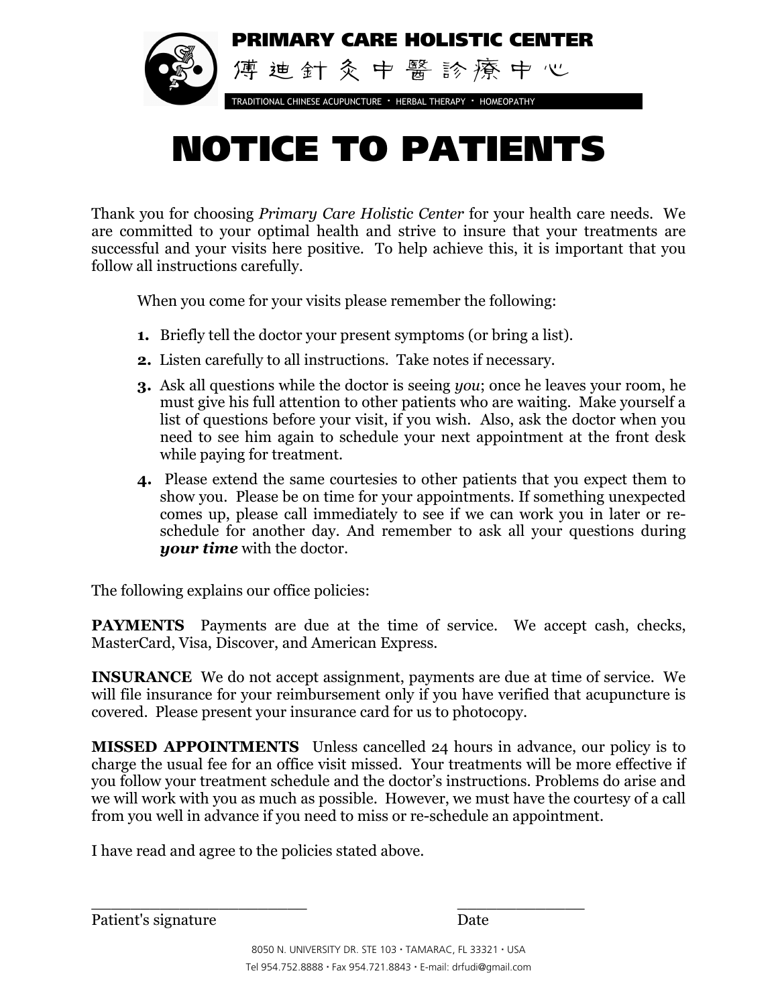

# NOTICE TO PATIENTS

Thank you for choosing *Primary Care Holistic Center* for your health care needs. We are committed to your optimal health and strive to insure that your treatments are successful and your visits here positive. To help achieve this, it is important that you follow all instructions carefully.

When you come for your visits please remember the following:

- **1.** Briefly tell the doctor your present symptoms (or bring a list).
- **2.** Listen carefully to all instructions. Take notes if necessary.
- **3.** Ask all questions while the doctor is seeing *you*; once he leaves your room, he must give his full attention to other patients who are waiting. Make yourself a list of questions before your visit, if you wish. Also, ask the doctor when you need to see him again to schedule your next appointment at the front desk while paying for treatment.
- **4.** Please extend the same courtesies to other patients that you expect them to show you. Please be on time for your appointments. If something unexpected comes up, please call immediately to see if we can work you in later or reschedule for another day. And remember to ask all your questions during *your time* with the doctor.

The following explains our office policies:

**PAYMENTS** Payments are due at the time of service. We accept cash, checks, MasterCard, Visa, Discover, and American Express.

**INSURANCE** We do not accept assignment, payments are due at time of service. We will file insurance for your reimbursement only if you have verified that acupuncture is covered. Please present your insurance card for us to photocopy.

**MISSED APPOINTMENTS** Unless cancelled 24 hours in advance, our policy is to charge the usual fee for an office visit missed. Your treatments will be more effective if you follow your treatment schedule and the doctor's instructions. Problems do arise and we will work with you as much as possible. However, we must have the courtesy of a call from you well in advance if you need to miss or re-schedule an appointment.

I have read and agree to the policies stated above.

 $\overline{\phantom{a}}$  , where  $\overline{\phantom{a}}$  , where  $\overline{\phantom{a}}$  ,  $\overline{\phantom{a}}$  ,  $\overline{\phantom{a}}$  ,  $\overline{\phantom{a}}$  ,  $\overline{\phantom{a}}$  ,  $\overline{\phantom{a}}$  ,  $\overline{\phantom{a}}$  ,  $\overline{\phantom{a}}$  ,  $\overline{\phantom{a}}$  ,  $\overline{\phantom{a}}$  ,  $\overline{\phantom{a}}$  ,  $\overline{\phantom{a}}$  ,  $\overline{\phantom{a}}$  , Patient's signature Date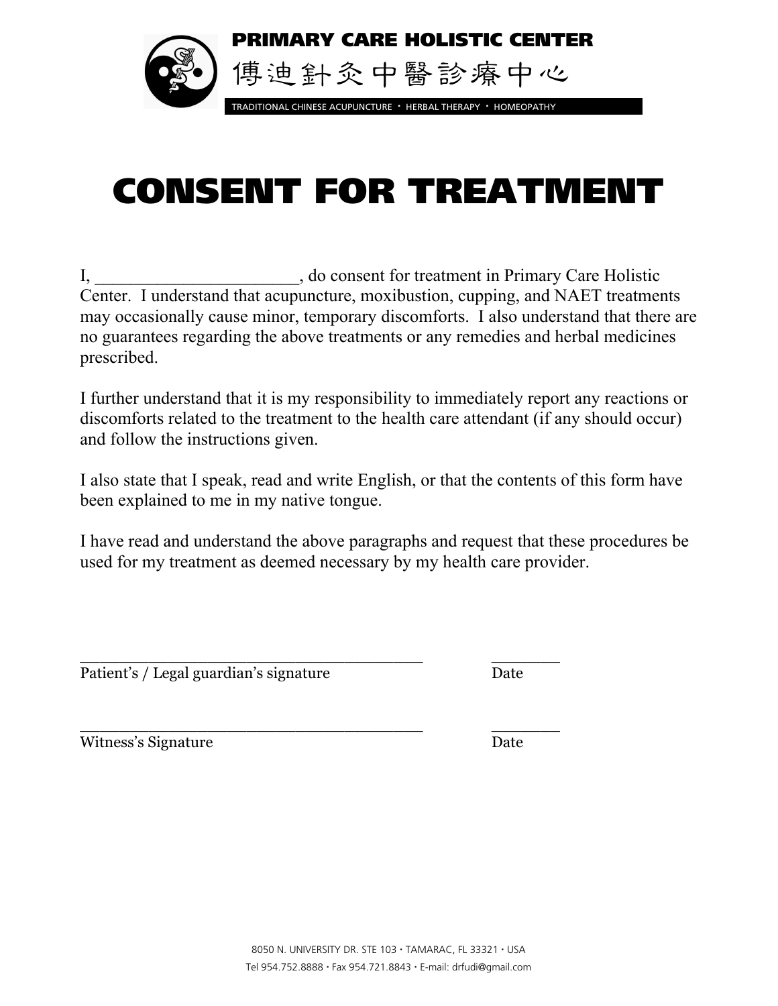

# CONSENT FOR TREATMENT

I, do consent for treatment in Primary Care Holistic Center. I understand that acupuncture, moxibustion, cupping, and NAET treatments may occasionally cause minor, temporary discomforts. I also understand that there are no guarantees regarding the above treatments or any remedies and herbal medicines prescribed.

I further understand that it is my responsibility to immediately report any reactions or discomforts related to the treatment to the health care attendant (if any should occur) and follow the instructions given.

I also state that I speak, read and write English, or that the contents of this form have been explained to me in my native tongue.

I have read and understand the above paragraphs and request that these procedures be used for my treatment as deemed necessary by my health care provider.

Patient's / Legal guardian's signature Date

 $\frac{1}{2}$  , the contract of the contract of the contract of the contract of the contract of the contract of the contract of the contract of the contract of the contract of the contract of the contract of the contract of t

 $\frac{1}{2}$  , the contract of the contract of the contract of the contract of the contract of the contract of the contract of the contract of the contract of the contract of the contract of the contract of the contract of t Witness's Signature Date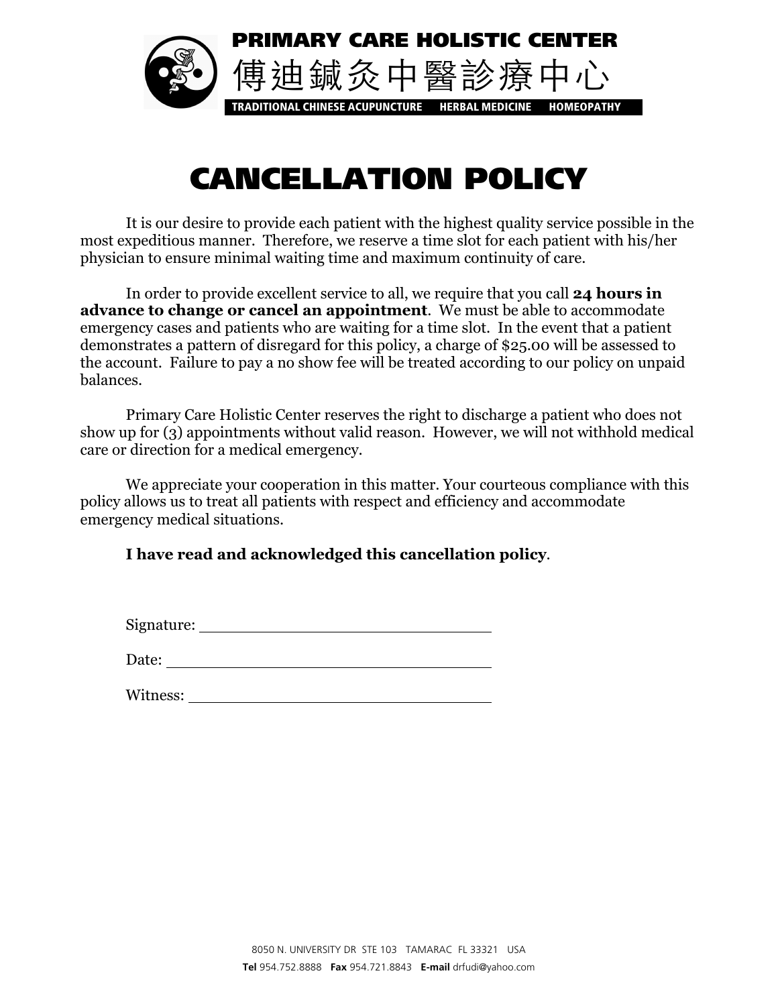

## CANCELLATION POLICY

It is our desire to provide each patient with the highest quality service possible in the most expeditious manner. Therefore, we reserve a time slot for each patient with his/her physician to ensure minimal waiting time and maximum continuity of care.

In order to provide excellent service to all, we require that you call **24 hours in advance to change or cancel an appointment**. We must be able to accommodate emergency cases and patients who are waiting for a time slot. In the event that a patient demonstrates a pattern of disregard for this policy, a charge of \$25.00 will be assessed to the account. Failure to pay a no show fee will be treated according to our policy on unpaid balances.

Primary Care Holistic Center reserves the right to discharge a patient who does not show up for (3) appointments without valid reason. However, we will not withhold medical care or direction for a medical emergency.

We appreciate your cooperation in this matter. Your courteous compliance with this policy allows us to treat all patients with respect and efficiency and accommodate emergency medical situations.

#### **I have read and acknowledged this cancellation policy**.

Signature:

Date:

Witness: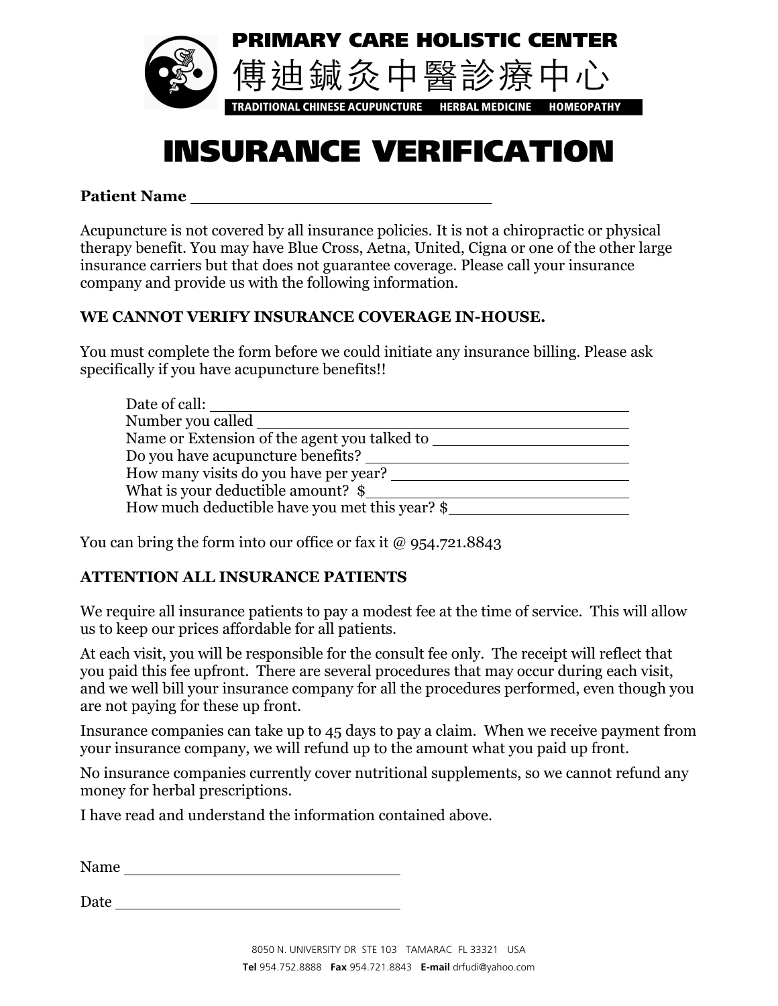

### INSURANCE VERIFICATION

**Patient Name**

Acupuncture is not covered by all insurance policies. It is not a chiropractic or physical therapy benefit. You may have Blue Cross, Aetna, United, Cigna or one of the other large insurance carriers but that does not guarantee coverage. Please call your insurance company and provide us with the following information.

#### **WE CANNOT VERIFY INSURANCE COVERAGE IN-HOUSE.**

You must complete the form before we could initiate any insurance billing. Please ask specifically if you have acupuncture benefits!!

| Date of call:                                  |
|------------------------------------------------|
| Number you called                              |
| Name or Extension of the agent you talked to   |
| Do you have acupuncture benefits?              |
| How many visits do you have per year?          |
| What is your deductible amount? \$             |
| How much deductible have you met this year? \$ |

You can bring the form into our office or fax it  $\omega$  954.721.8843

#### **ATTENTION ALL INSURANCE PATIENTS**

We require all insurance patients to pay a modest fee at the time of service. This will allow us to keep our prices affordable for all patients.

At each visit, you will be responsible for the consult fee only. The receipt will reflect that you paid this fee upfront. There are several procedures that may occur during each visit, and we well bill your insurance company for all the procedures performed, even though you are not paying for these up front.

Insurance companies can take up to 45 days to pay a claim. When we receive payment from your insurance company, we will refund up to the amount what you paid up front.

No insurance companies currently cover nutritional supplements, so we cannot refund any money for herbal prescriptions.

I have read and understand the information contained above.

Name and the set of the set of the set of the set of the set of the set of the set of the set of the set of the set of the set of the set of the set of the set of the set of the set of the set of the set of the set of the

Date